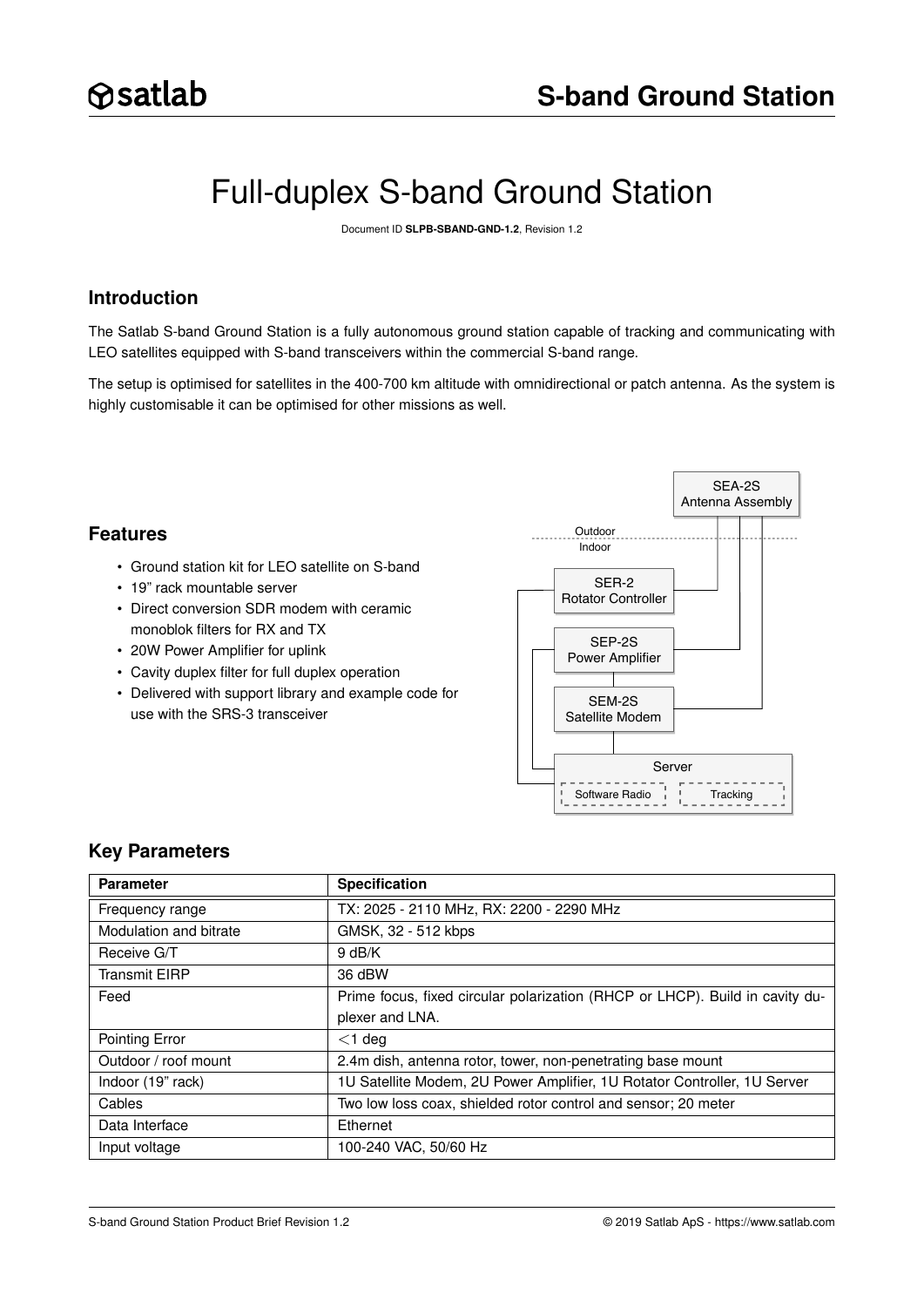# Full-duplex S-band Ground Station

Document ID **SLPB-SBAND-GND-1.2**, Revision 1.2

# **Introduction**

The Satlab S-band Ground Station is a fully autonomous ground station capable of tracking and communicating with LEO satellites equipped with S-band transceivers within the commercial S-band range.

The setup is optimised for satellites in the 400-700 km altitude with omnidirectional or patch antenna. As the system is highly customisable it can be optimised for other missions as well.

# **Features**

- Ground station kit for LEO satellite on S-band
- 19" rack mountable server
- Direct conversion SDR modem with ceramic monoblok filters for RX and TX
- 20W Power Amplifier for uplink
- Cavity duplex filter for full duplex operation
- Delivered with support library and example code for use with the SRS-3 transceiver



## **Key Parameters**

| <b>Parameter</b>       | <b>Specification</b>                                                         |
|------------------------|------------------------------------------------------------------------------|
| Frequency range        | TX: 2025 - 2110 MHz, RX: 2200 - 2290 MHz                                     |
| Modulation and bitrate | GMSK, 32 - 512 kbps                                                          |
| Receive G/T            | 9 dB/K                                                                       |
| <b>Transmit EIRP</b>   | 36 dBW                                                                       |
| Feed                   | Prime focus, fixed circular polarization (RHCP or LHCP). Build in cavity du- |
|                        | plexer and LNA.                                                              |
| Pointing Error         | $<$ 1 deg                                                                    |
| Outdoor / roof mount   | 2.4m dish, antenna rotor, tower, non-penetrating base mount                  |
| Indoor (19" rack)      | 1U Satellite Modem, 2U Power Amplifier, 1U Rotator Controller, 1U Server     |
| Cables                 | Two low loss coax, shielded rotor control and sensor; 20 meter               |
| Data Interface         | Ethernet                                                                     |
| Input voltage          | 100-240 VAC, 50/60 Hz                                                        |

S-band Ground Station Product Brief Revision 1.2 © 2019 Satlab ApS -<https://www.satlab.com>